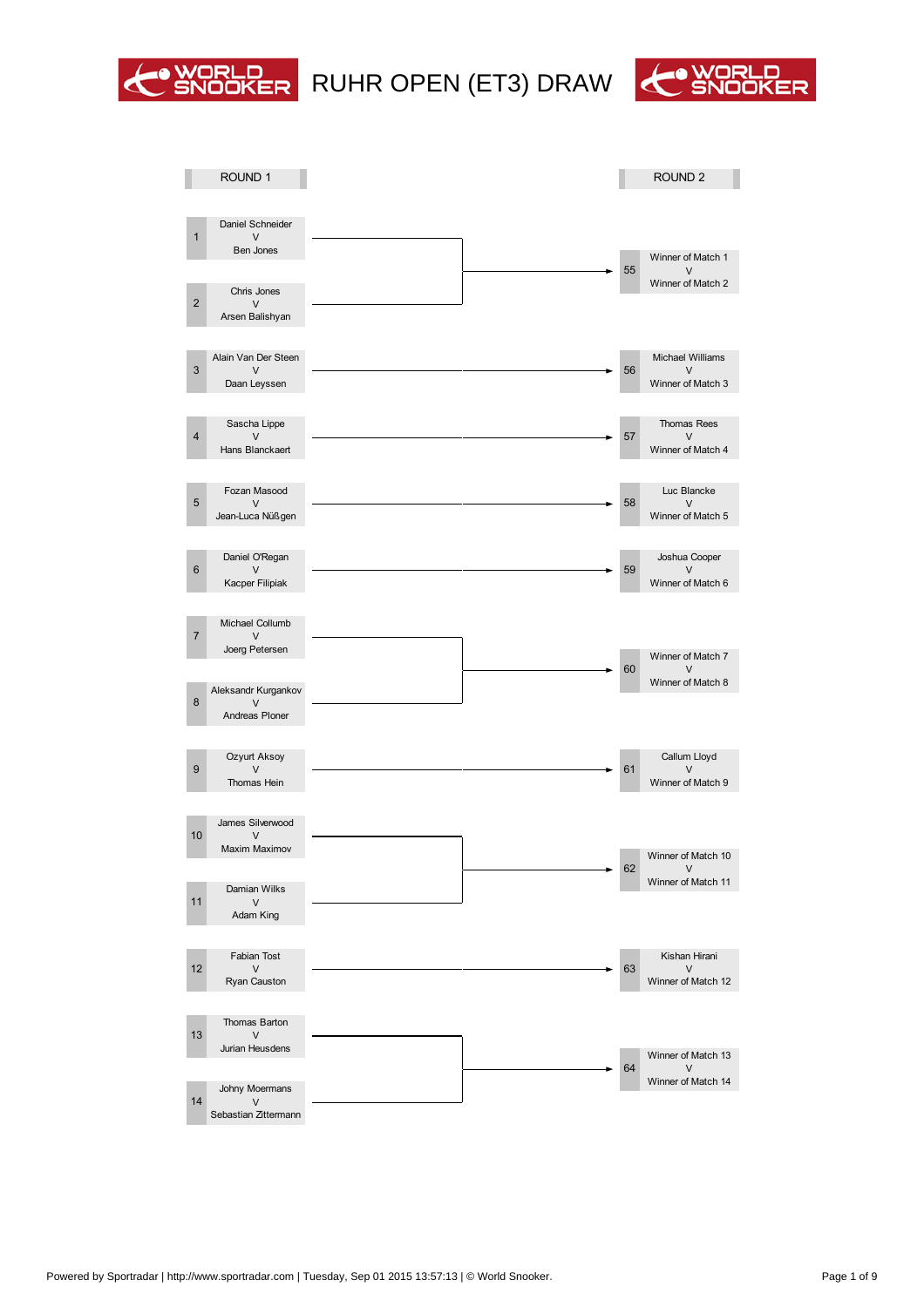

# WORLD RUHR OPEN (ET3) DRAW CONDER



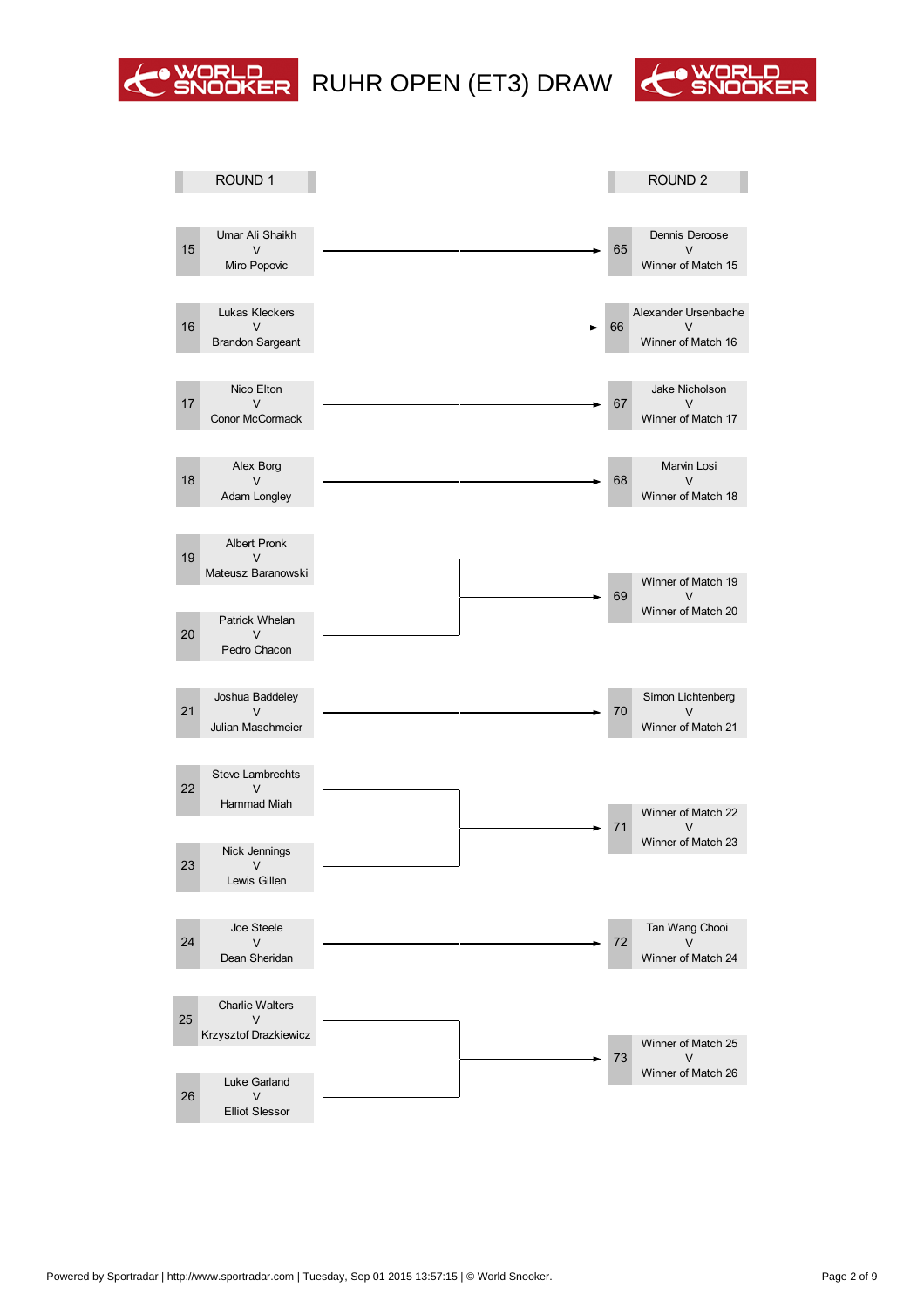

### RUHR OPEN (ET3) DRAW



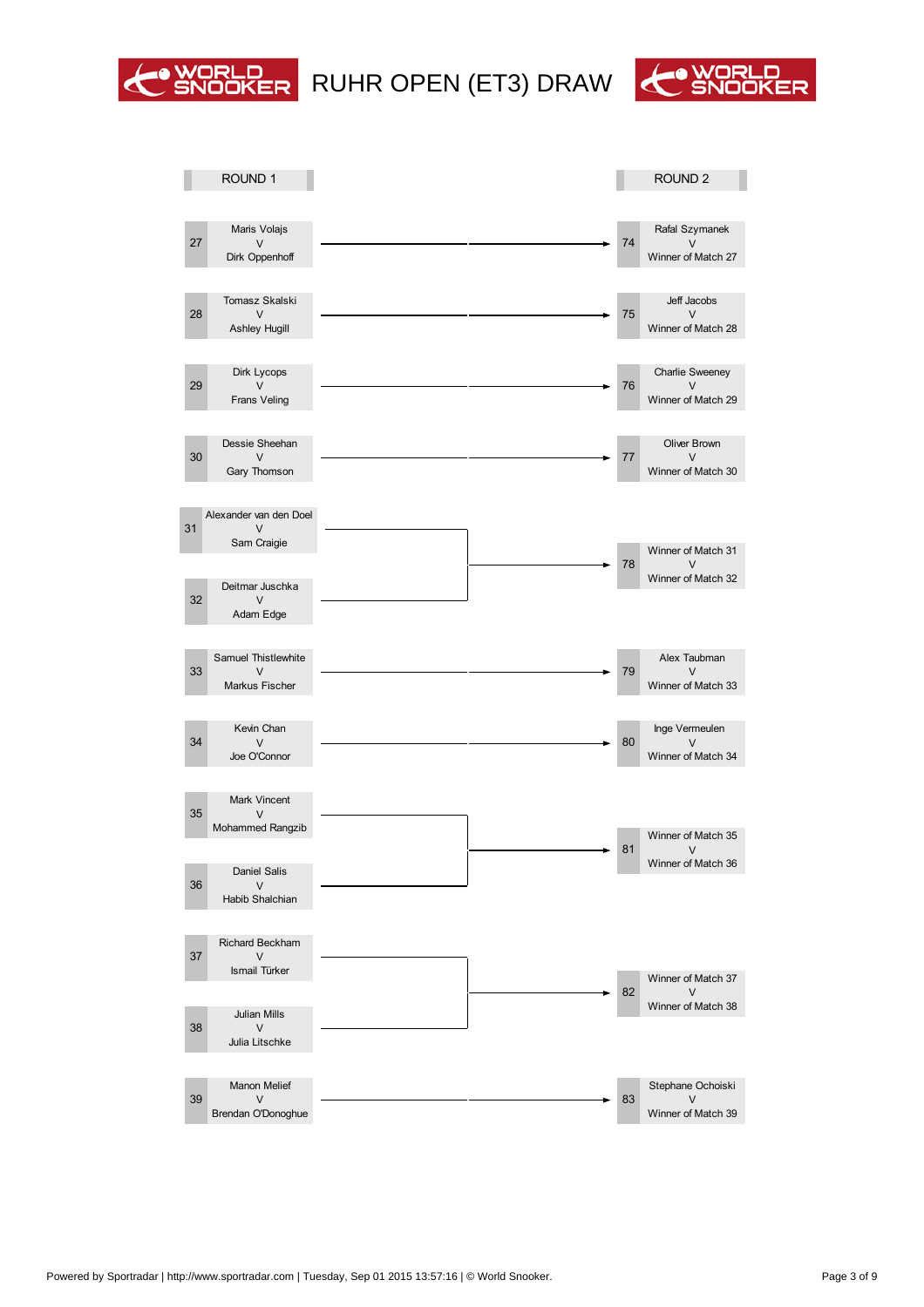

# WORLD RUHR OPEN (ET3) DRAW CONDER



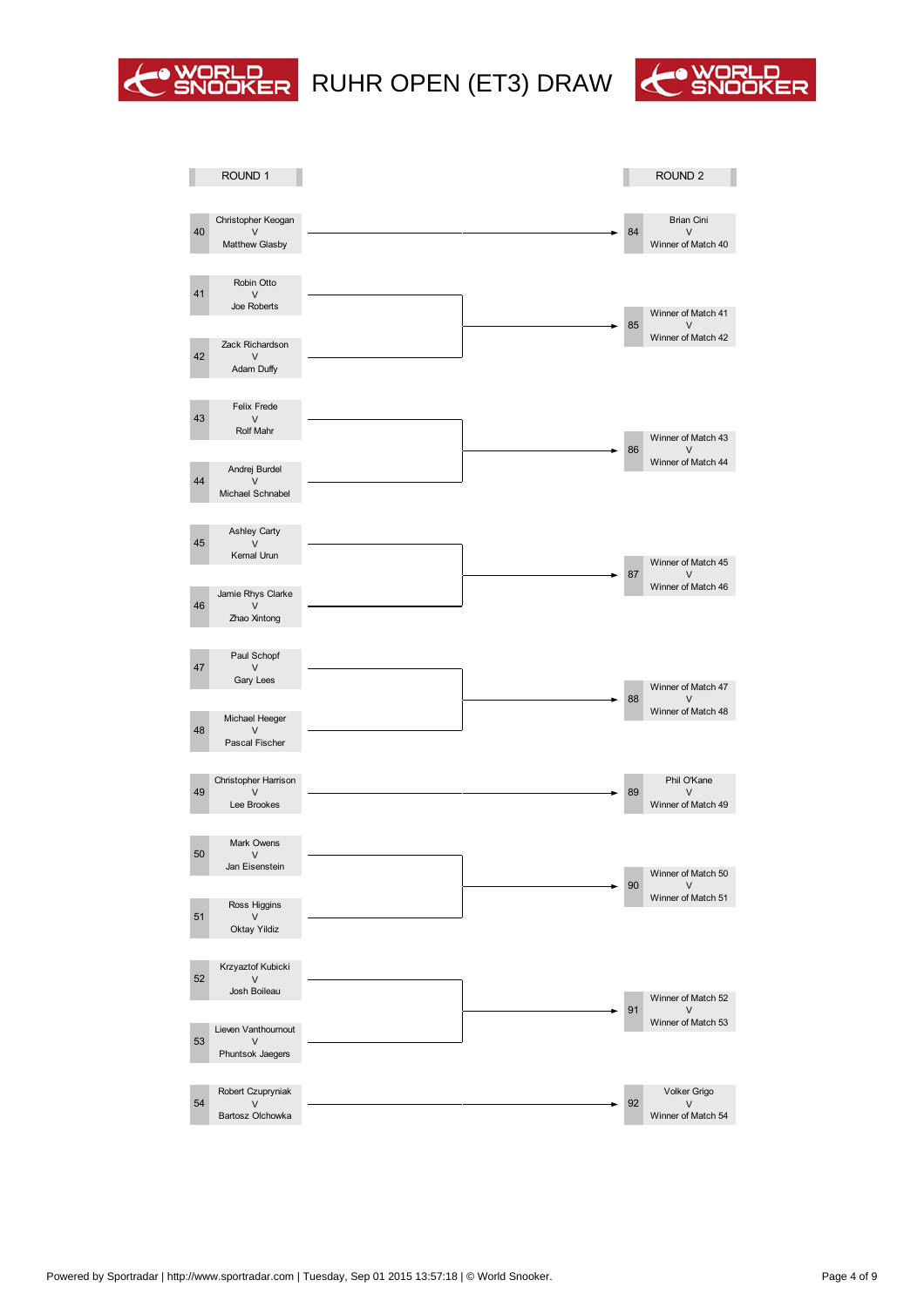



|    | OUND <sub>1</sub>                      |  |  |                         | OUND <sub>2</sub>  |
|----|----------------------------------------|--|--|-------------------------|--------------------|
|    |                                        |  |  |                         |                    |
| 40 | Christopher Keogan                     |  |  | 84                      | <b>Brian Cini</b>  |
|    | Matthew Glasby                         |  |  |                         | Winner of Match 40 |
| 41 | Robin Otto                             |  |  |                         |                    |
|    | Joe Roberts                            |  |  |                         | Winner of Match 41 |
|    | Zack Richardson                        |  |  | 85                      | Winner of Match 42 |
| 42 | Adam Duffy                             |  |  |                         |                    |
|    |                                        |  |  |                         |                    |
| 43 | Felix Frede<br>Rolf Mahr               |  |  |                         |                    |
|    |                                        |  |  | 86                      | Winner of Match 43 |
| 44 | Andrej Burdel                          |  |  |                         | Winner of Match 44 |
|    | Michael Schnabel                       |  |  |                         |                    |
|    | Ashley Carty                           |  |  |                         |                    |
| 45 | Kemal Urun                             |  |  |                         | Winner of Match 45 |
|    | Jamie Rhys Clarke                      |  |  | 87                      | Winner of Match 46 |
| 46 | Zhao Xintong                           |  |  |                         |                    |
|    |                                        |  |  |                         |                    |
| 47 | Paul Schopf                            |  |  |                         |                    |
|    | Gary Lees                              |  |  | 88                      | Winner of Match 47 |
| 48 | Michael Heeger                         |  |  |                         | Winner of Match 48 |
|    | Pascal Fischer                         |  |  |                         |                    |
| 4  | Christopher Harrison                   |  |  |                         | Phil O'Kane        |
|    | Lee Brookes                            |  |  | 8                       | Winner of Match 49 |
|    |                                        |  |  |                         |                    |
| 50 | Mark Owens                             |  |  |                         |                    |
|    | Jan Eisenstein                         |  |  | 0                       | Winner of Match 50 |
| 51 | Ross Higgins                           |  |  |                         | Winner of Match 51 |
|    | Oktay Yildiz                           |  |  |                         |                    |
|    | Krzyaztof Kubicki                      |  |  |                         |                    |
| 52 | Josh Boileau                           |  |  |                         | Winner of Match 52 |
|    |                                        |  |  | 1                       | Winner of Match 53 |
| 53 | Lieven anthournout<br>Phuntsok Jaegers |  |  |                         |                    |
|    |                                        |  |  |                         |                    |
| 54 | Robert Czupryniak                      |  |  | $\overline{\mathbf{c}}$ | olker Grigo        |
|    | Bartosz Olchowka                       |  |  |                         | Winner of Match 54 |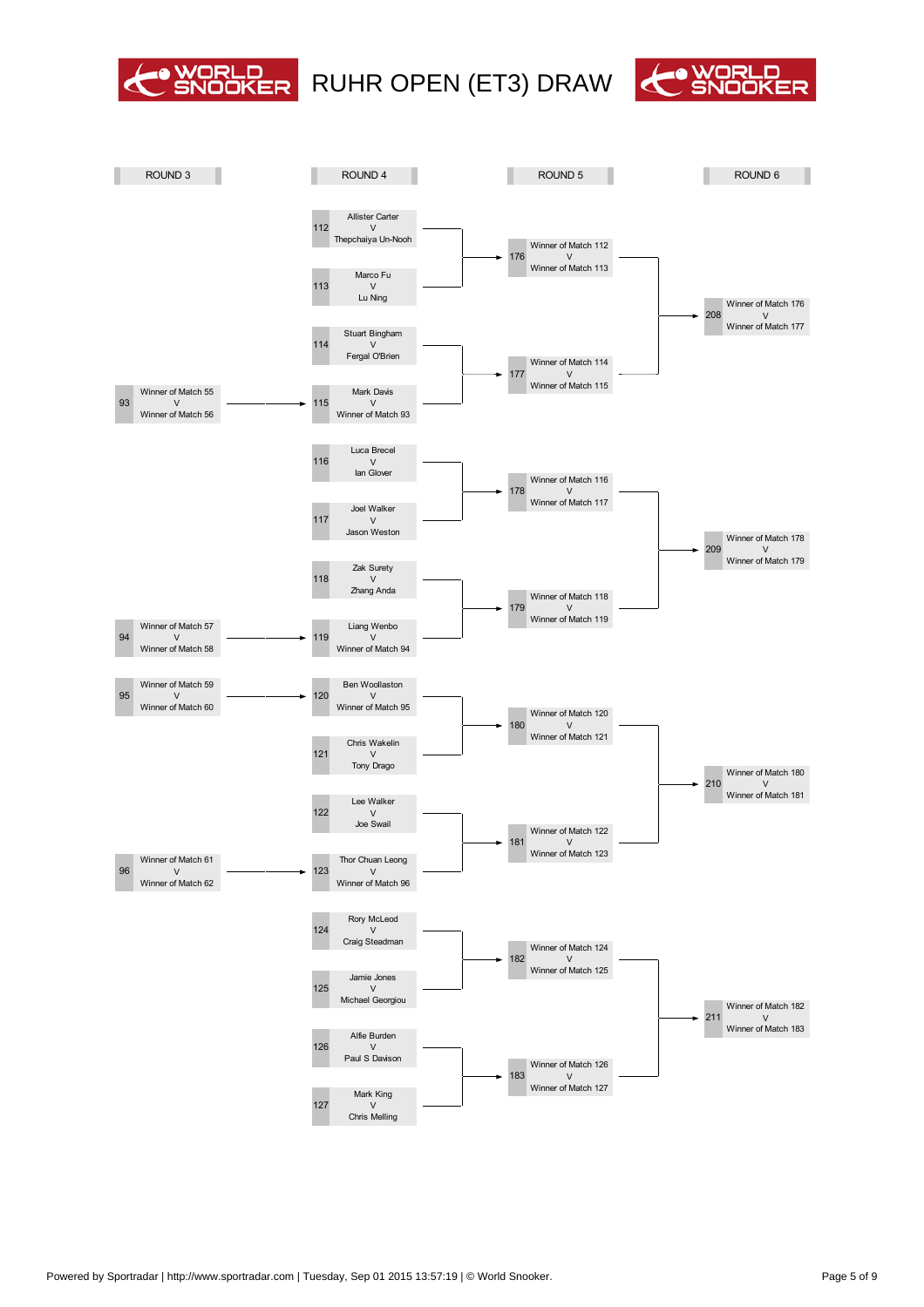



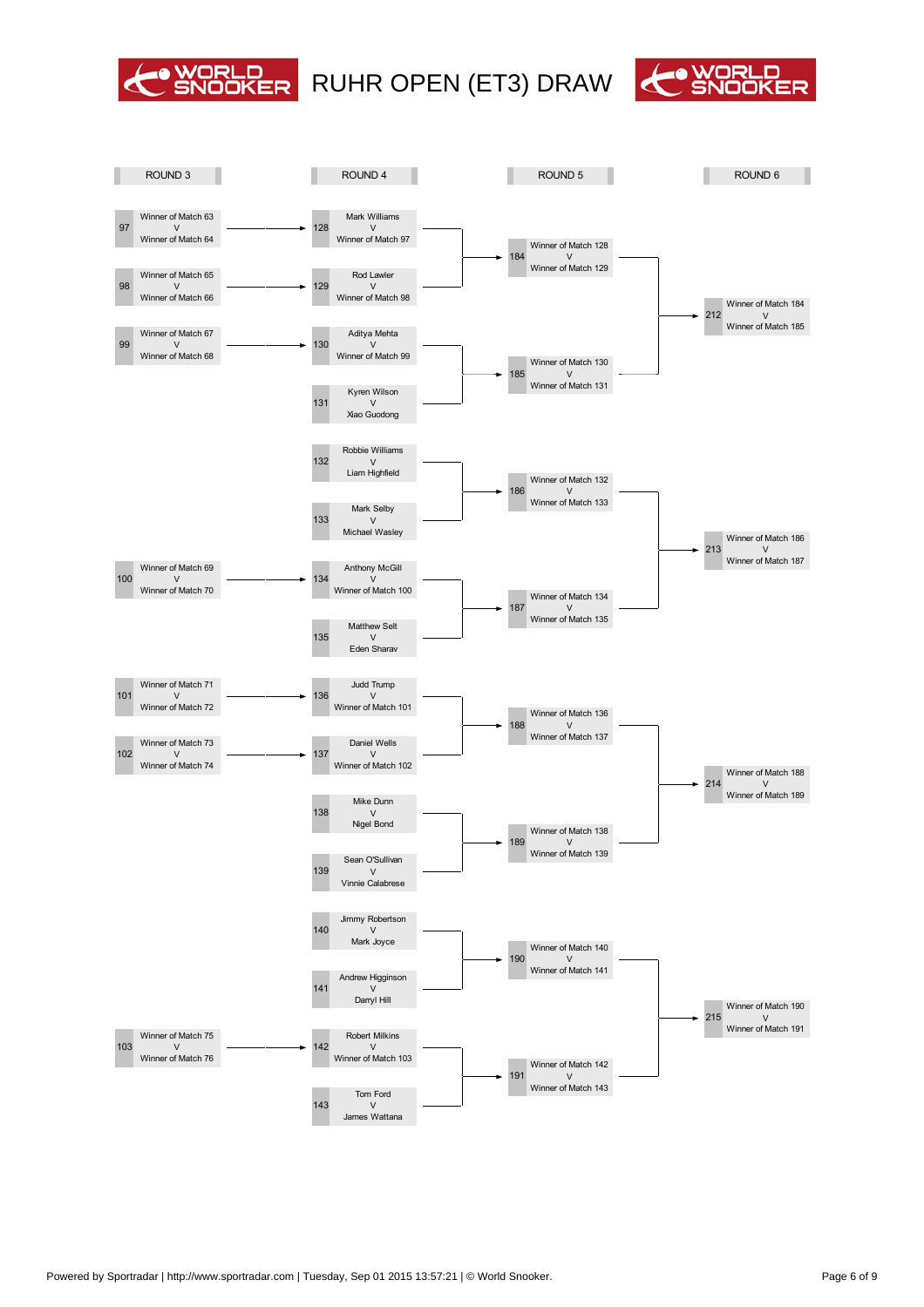

## O WORLD RUHR OPEN (ET3) DRAW CO WORLD



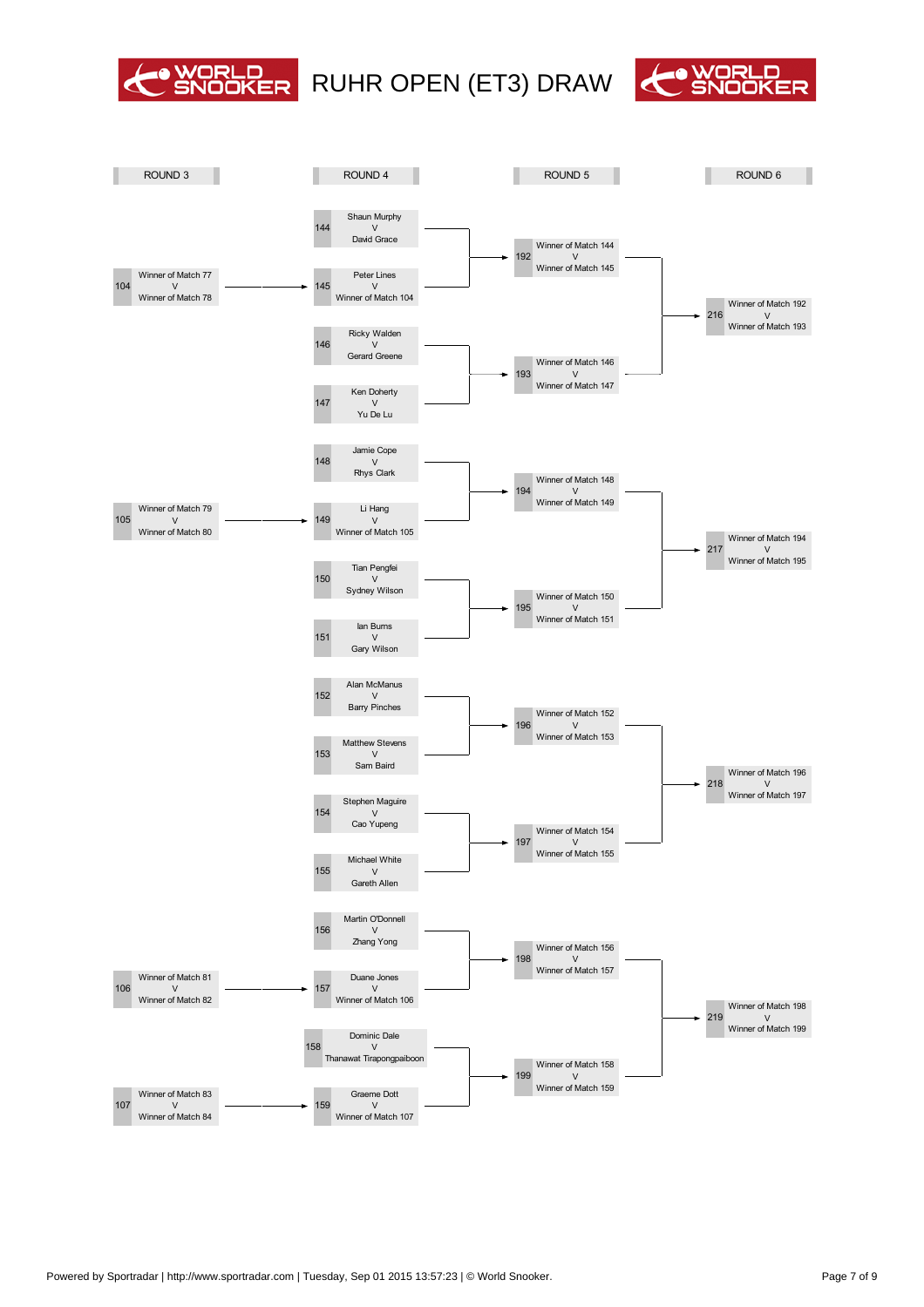

# O WORLD RUHR OPEN (ET3) DRAW CO WORLD



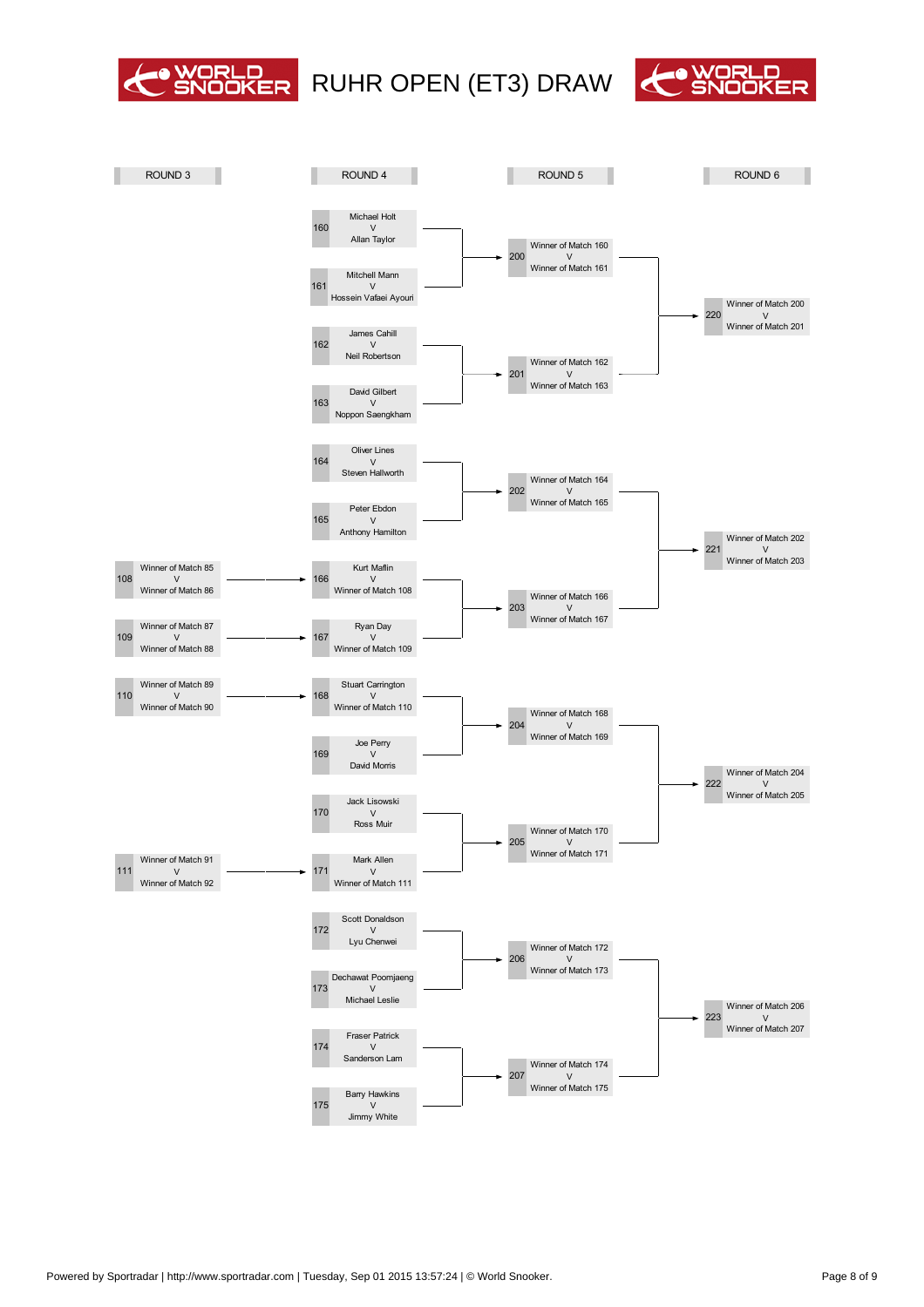